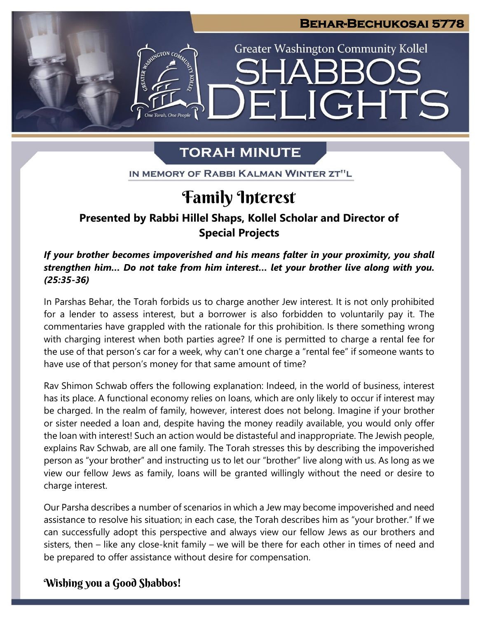

**LIGHTS** 

**Greater Washington Community Kollel** 

# **TORAH MINUTE**

 $\mathbf{H}$ 

GTON CO

One Torah. One People

IN MEMORY OF RABBI KALMAN WINTER ZT"L

# **Family Interest**

#### $\overline{a}$ **Presented by Rabbi Hillel Shaps, Kollel Scholar and Director of Special Projects**

*If your brother becomes impoverished and his means falter in your proximity, you shall strengthen him… Do not take from him interest… let your brother live along with you. (25:35-36)*

In Parshas Behar, the Torah forbids us to charge another Jew interest. It is not only prohibited **pre** for a lender to assess interest, but a borrower is also forbidden to voluntarily pay it. The For a lender to assess interest, but a borrower is also forbidden to voluntarily pay it. The commentaries have grappled with the rationale for this prohibition. Is there something wrong with charging interest when both parties agree? If one is permitted to charge a rental fee for the use of that person's car for a week, why can't one charge a "rental fee" if someone wants to have use of that person's money for that same amount of time?

Rav Shimon Schwab offers the following explanation: Indeed, in the world of business, interest has its place. A functional economy relies on loans, which are only likely to occur if interest may be charged. In the realm of family, however, interest does not belong. Imagine if your brother or sister needed a loan and, despite having the money readily available, you would only offer the loan with interest! Such an action would be distasteful and inappropriate. The Jewish people, explains Rav Schwab, are all one family. The Torah stresses this by describing the impoverished person as "your brother" and instructing us to let our "brother" live along with us. As long as we view our fellow Jews as family, loans will be granted willingly without the need or desire to charge interest.

Our Parsha describes a number of scenarios in which a Jew may become impoverished and need assistance to resolve his situation; in each case, the Torah describes him as "your brother." If we can successfully adopt this perspective and always view our fellow Jews as our brothers and sisters, then – like any close-knit family – we will be there for each other in times of need and be prepared to offer assistance without desire for compensation.

### **Wishing you a Good Shabbos!**